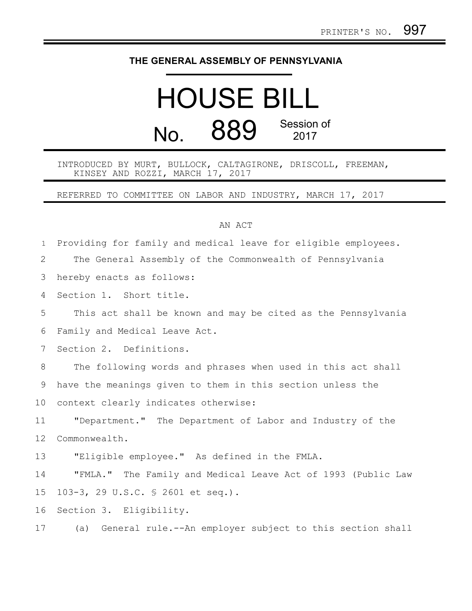## **THE GENERAL ASSEMBLY OF PENNSYLVANIA**

## HOUSE BILL No. 889 Session of 2017

INTRODUCED BY MURT, BULLOCK, CALTAGIRONE, DRISCOLL, FREEMAN, KINSEY AND ROZZI, MARCH 17, 2017

REFERRED TO COMMITTEE ON LABOR AND INDUSTRY, MARCH 17, 2017

## AN ACT

| $\mathbf{1}$ | Providing for family and medical leave for eligible employees. |
|--------------|----------------------------------------------------------------|
| 2            | The General Assembly of the Commonwealth of Pennsylvania       |
| 3            | hereby enacts as follows:                                      |
| 4            | Section 1. Short title.                                        |
| 5            | This act shall be known and may be cited as the Pennsylvania   |
| 6            | Family and Medical Leave Act.                                  |
| 7            | Section 2. Definitions.                                        |
| 8            | The following words and phrases when used in this act shall    |
| 9            | have the meanings given to them in this section unless the     |
| 10           | context clearly indicates otherwise:                           |
| 11           | "Department." The Department of Labor and Industry of the      |
| 12           | Commonwealth.                                                  |
| 13           | "Eligible employee." As defined in the FMLA.                   |
| 14           | "FMLA." The Family and Medical Leave Act of 1993 (Public Law   |
| 15           | 103-3, 29 U.S.C. § 2601 et seq.).                              |
| 16           | Section 3. Eligibility.                                        |
| 17           | (a) General rule.--An employer subject to this section shall   |
|              |                                                                |
|              |                                                                |